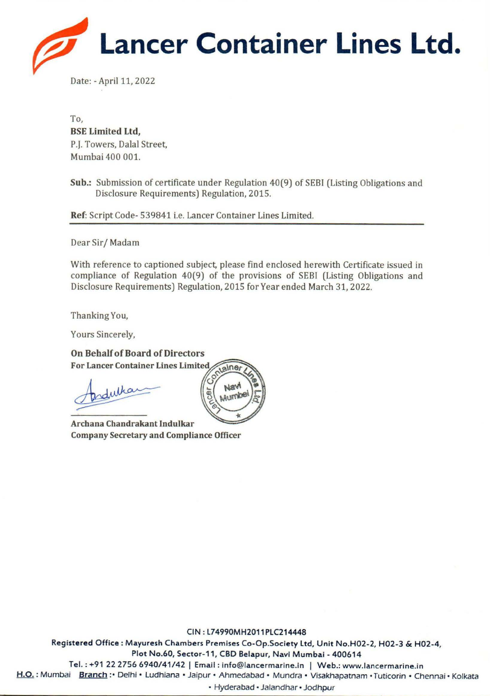

Date: - April 11, 2022

To, **BSE Limited Ltd,**  P.J. Towers, Dalal Street, Mumbai 400 001.

**Sub.:** Submission of certificate under Regulation 40(9) of SEBI (Listing Obligations and Disclosure Requirements) Regulation, 2015.

**Ref:** Script Code- 539841 i.e. Lancer Container Lines Limited.

Dear Sir/ Madam

With reference to captioned subject, please find enclosed herewith Certificate issued in compliance of Regulation 40(9) of the provisions of SEBI (Listing Obligations and Disclosure Requirements) Regulation, 2015 for Year ended March 31, 2022.

Thanking You,

Yours Sincerely,

**On Behalf of Board of Directors For Lancer Container Lines Limited** 

On Behalf of Board of Directors<br>
For Lancer Container Lines Limited<br>
Podulkar Register<br>
Register<br>
Register Andrakant Indulkar

**Archana Company Secretary and Compliance Officer** 

CIN: L74990MH2011 PLC214448 **Registered** Office : Mayuresh Chambers Premises Co-Op.Society Ltd, Unit No.H02-2, H02-3 & H02-4, Plot No.60, Sector-11, CBD Belapur, Navi Mumbai - 400614 Tel.: +91 22 2756 6940/41/42 | Email: info@lancermarine.in | Web.: www.lancermarine.in H.O. : Mumbai Branch : • Delhi • Ludhiana • Jaipur • Ahmedabad • Mundra • Visakhapatnam • Tuticorin • Chennai • Kolkata

• Hyderabad • Jalandhar • Jodhpur